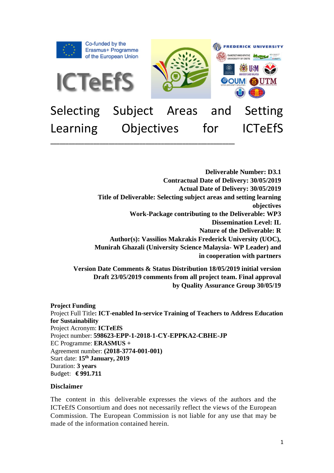

# Learning Objectives for ICTeEfS **\_\_\_\_\_\_\_\_\_\_\_\_\_\_\_\_\_\_\_\_\_\_\_\_\_\_\_\_\_\_\_\_\_\_\_\_\_\_\_\_\_\_\_\_\_\_\_\_\_\_\_\_\_\_\_\_\_\_\_\_**

**Deliverable Number: D3.1 Contractual Date of Delivery: 30/05/2019 Actual Date of Delivery: 30/05/2019 Title of Deliverable: Selecting subject areas and setting learning objectives Work-Package contributing to the Deliverable: WP3 Dissemination Level: IL Nature of the Deliverable: R Author(s): Vassilios Makrakis Frederick University (UOC), Munirah Ghazali (University Science Malaysia- WP Leader) and in cooperation with partners**

**Version Date Comments & Status Distribution 18/05/2019 initial version Draft 23/05/2019 comments from all project team. Final approval by Quality Assurance Group 30/05/19**

#### **Project Funding**  Project Full Title**: ICT-enabled In-service Training of Teachers to Address Education for Sustainability** Project Acronym: **ICTeEfS** Project number: **598623-EPP-1-2018-1-CY-EPPKA2-CBHE-JP** EC Programme: **ERASMUS +** Agreement number: **(2018-3774-001-001)** Start date: **15th January, 2019**  Duration: **3 years**  Budget: **€ 991.711**

#### **Disclaimer**

The content in this deliverable expresses the views of the authors and the ICTeEfS Consortium and does not necessarily reflect the views of the European Commission. The European Commission is not liable for any use that may be made of the information contained herein.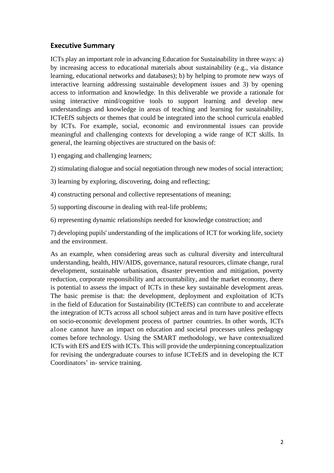#### **Executive Summary**

ICTs play an important role in advancing Education for Sustainability in three ways: a) by increasing access to educational materials about sustainability (e.g., via distance learning, educational networks and databases); b) by helping to promote new ways of interactive learning addressing sustainable development issues and 3) by opening access to information and knowledge. In this deliverable we provide a rationale for using interactive mind/cognitive tools to support learning and develop new understandings and knowledge in areas of teaching and learning for sustainability, ICTeEfS subjects or themes that could be integrated into the school curricula enabled by ICTs. For example, social, economic and environmental issues can provide meaningful and challenging contexts for developing a wide range of ICT skills. In general, the learning objectives are structured on the basis of:

1) engaging and challenging learners;

2) stimulating dialogue and social negotiation through new modes of social interaction;

3) learning by exploring, discovering, doing and reflecting;

4) constructing personal and collective representations of meaning;

5) supporting discourse in dealing with real-life problems;

6) representing dynamic relationships needed for knowledge construction; and

7) developing pupils' understanding of the implications of ICT for working life, society and the environment.

As an example, when considering areas such as cultural diversity and intercultural understanding, health, HIV/AIDS, governance, natural resources, climate change, rural development, sustainable urbanisation, disaster prevention and mitigation, poverty reduction, corporate responsibility and accountability, and the market economy, there is potential to assess the impact of ICTs in these key sustainable development areas. The basic premise is that: the development, deployment and exploitation of ICTs in the field of Education for Sustainability (ICTeEfS) can contribute to and accelerate the integration of ICTs across all school subject areas and in turn have positive effects on socio-economic development process of partner countries. In other words, ICTs alone cannot have an impact on education and societal processes unless pedagogy comes before technology. Using the SMART methodology, we have contextualized ICTs with EfS and EfS with ICTs. This will provide the underpinning conceptualization for revising the undergraduate courses to infuse ICTeEfS and in developing the ICT Coordinators' in- service training.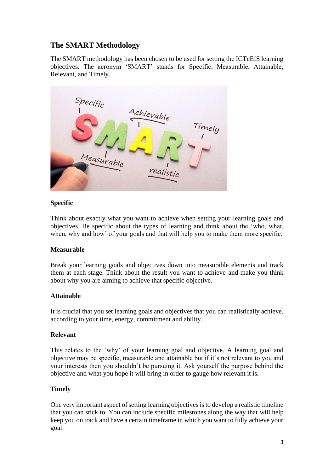# **The SMART Methodology**

The SMART methodology has been chosen to be used for setting the ICTeEfS learning objectives. The acronym 'SMART' stands for Specific, Measurable, Attainable, Relevant, and Timely.



#### **Specific**

Think about exactly what you want to achieve when setting your learning goals and objectives. Be specific about the types of learning and think about the 'who, what, when, why and how' of your goals and that will help you to make them more specific.

#### **Measurable**

Break your learning goals and objectives down into measurable elements and track them at each stage. Think about the result you want to achieve and make you think about why you are aiming to achieve that specific objective.

#### **Attainable**

It is crucial that you set learning goals and objectives that you can realistically achieve, according to your time, energy, commitment and ability.

#### **Relevant**

This relates to the 'why' of your learning goal and objective. A learning goal and objective may be specific, measurable and attainable but if it's not relevant to you and your interests then you shouldn't be pursuing it. Ask yourself the purpose behind the objective and what you hope it will bring in order to gauge how relevant it is.

#### **Timely**

One very important aspect of setting learning objectives is to develop a realistic timeline that you can stick to. You can include specific milestones along the way that will help keep you on track and have a certain timeframe in which you want to fully achieve your goal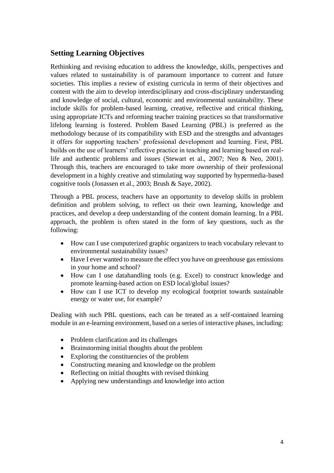## **Setting Learning Objectives**

Rethinking and revising education to address the knowledge, skills, perspectives and values related to sustainability is of paramount importance to current and future societies. This implies a review of existing curricula in terms of their objectives and content with the aim to develop interdisciplinary and cross-disciplinary understanding and knowledge of social, cultural, economic and environmental sustainability. These include skills for problem-based learning, creative, reflective and critical thinking, using appropriate ICTs and reforming teacher training practices so that transformative lifelong learning is fostered. Problem Based Learning (PBL) is preferred as the methodology because of its compatibility with ESD and the strengths and advantages it offers for supporting teachers' professional development and learning. First, PBL builds on the use of learners' reflective practice in teaching and learning based on reallife and authentic problems and issues (Stewart et al., 2007; Neo & Neo, 2001). Through this, teachers are encouraged to take more ownership of their professional development in a highly creative and stimulating way supported by hypermedia-based cognitive tools (Jonassen et al., 2003; Brush & Saye, 2002).

Through a PBL process, teachers have an opportunity to develop skills in problem definition and problem solving, to reflect on their own learning, knowledge and practices, and develop a deep understanding of the content domain learning. In a PBL approach, the problem is often stated in the form of key questions, such as the following:

- How can I use computerized graphic organizers to teach vocabulary relevant to environmental sustainability issues?
- Have I ever wanted to measure the effect you have on greenhouse gas emissions in your home and school?
- How can I use datahandling tools (e.g. Excel) to construct knowledge and promote learning-based action on ESD local/global issues?
- How can I use ICT to develop my ecological footprint towards sustainable energy or water use, for example?

Dealing with such PBL questions, each can be treated as a self-contained learning module in an e-learning environment, based on a series of interactive phases, including:

- Problem clarification and its challenges
- Brainstorming initial thoughts about the problem
- Exploring the constituencies of the problem
- Constructing meaning and knowledge on the problem
- Reflecting on initial thoughts with revised thinking
- Applying new understandings and knowledge into action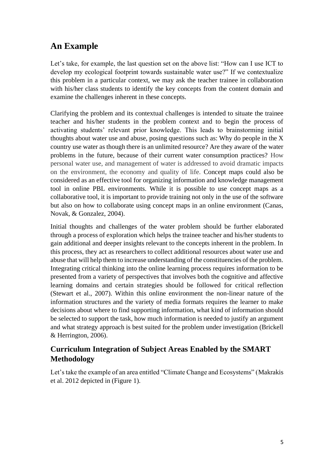# **An Example**

Let's take, for example, the last question set on the above list: "How can I use ICT to develop my ecological footprint towards sustainable water use?" If we contextualize this problem in a particular context, we may ask the teacher trainee in collaboration with his/her class students to identify the key concepts from the content domain and examine the challenges inherent in these concepts.

Clarifying the problem and its contextual challenges is intended to situate the trainee teacher and his/her students in the problem context and to begin the process of activating students' relevant prior knowledge. This leads to brainstorming initial thoughts about water use and abuse, posing questions such as: Why do people in the X country use water as though there is an unlimited resource? Are they aware of the water problems in the future, because of their current water consumption practices? How personal water use, and management of water is addressed to avoid dramatic impacts on the environment, the economy and quality of life. Concept maps could also be considered as an effective tool for organizing information and knowledge management tool in online PBL environments. While it is possible to use concept maps as a collaborative tool, it is important to provide training not only in the use of the software but also on how to collaborate using concept maps in an online environment (Canas, Novak, & Gonzalez, 2004).

Initial thoughts and challenges of the water problem should be further elaborated through a process of exploration which helps the trainee teacher and his/her students to gain additional and deeper insights relevant to the concepts inherent in the problem. In this process, they act as researchers to collect additional resources about water use and abuse that will help them to increase understanding of the constituencies of the problem. Integrating critical thinking into the online learning process requires information to be presented from a variety of perspectives that involves both the cognitive and affective learning domains and certain strategies should be followed for critical reflection (Stewart et al., 2007). Within this online environment the non-linear nature of the information structures and the variety of media formats requires the learner to make decisions about where to find supporting information, what kind of information should be selected to support the task, how much information is needed to justify an argument and what strategy approach is best suited for the problem under investigation (Brickell & Herrington, 2006).

# **Curriculum Integration of Subject Areas Enabled by the SMART Methodology**

Let's take the example of an area entitled "Climate Change and Ecosystems" (Makrakis et al. 2012 depicted in (Figure 1).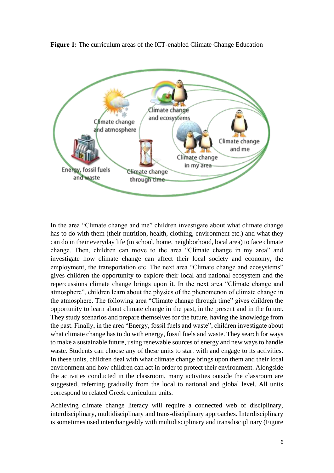**Figure 1:** The curriculum areas of the ICT-enabled Climate Change Education



In the area "Climate change and me" children investigate about what climate change has to do with them (their nutrition, health, clothing, environment etc.) and what they can do in their everyday life (in school, home, neighborhood, local area) to face climate change. Then, children can move to the area "Climate change in my area" and investigate how climate change can affect their local society and economy, the employment, the transportation etc. The next area "Climate change and ecosystems" gives children the opportunity to explore their local and national ecosystem and the repercussions climate change brings upon it. In the next area "Climate change and atmosphere", children learn about the physics of the phenomenon of climate change in the atmosphere. The following area "Climate change through time" gives children the opportunity to learn about climate change in the past, in the present and in the future. They study scenarios and prepare themselves for the future, having the knowledge from the past. Finally, in the area "Energy, fossil fuels and waste", children investigate about what climate change has to do with energy, fossil fuels and waste. They search for ways to make a sustainable future, using renewable sources of energy and new ways to handle waste. Students can choose any of these units to start with and engage to its activities. In these units, children deal with what climate change brings upon them and their local environment and how children can act in order to protect their environment. Alongside the activities conducted in the classroom, many activities outside the classroom are suggested, referring gradually from the local to national and global level. All units correspond to related Greek curriculum units.

Achieving climate change literacy will require a connected web of disciplinary, interdisciplinary, multidisciplinary and trans-disciplinary approaches. Interdisciplinary is sometimes used interchangeably with multidisciplinary and transdisciplinary (Figure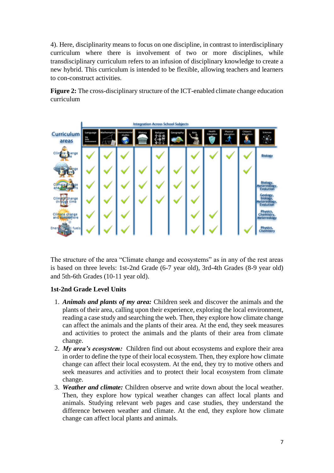4). Here, disciplinarity means to focus on one discipline, in contrast to interdisciplinary curriculum where there is involvement of two or more disciplines, while transdisciplinary curriculum refers to an infusion of disciplinary knowledge to create a new hybrid. This curriculum is intended to be flexible, allowing teachers and learners to con-construct activities.

**Figure 2:** The cross-disciplinary structure of the ICT-enabled climate change education curriculum



The structure of the area "Climate change and ecosystems" as in any of the rest areas is based on three levels: 1st-2nd Grade (6-7 year old), 3rd-4th Grades (8-9 year old) and 5th-6th Grades (10-11 year old).

#### **1st-2nd Grade Level Units**

- 1. *Animals and plants of my area:* Children seek and discover the animals and the plants of their area, calling upon their experience, exploring the local environment, reading a case study and searching the web. Then, they explore how climate change can affect the animals and the plants of their area. At the end, they seek measures and activities to protect the animals and the plants of their area from climate change.
- 2. *My area's ecosystem:* Children find out about ecosystems and explore their area in order to define the type of their local ecosystem. Then, they explore how climate change can affect their local ecosystem. At the end, they try to motive others and seek measures and activities and to protect their local ecosystem from climate change.
- 3. *Weather and climate:* Children observe and write down about the local weather. Then, they explore how typical weather changes can affect local plants and animals. Studying relevant web pages and case studies, they understand the difference between weather and climate. At the end, they explore how climate change can affect local plants and animals.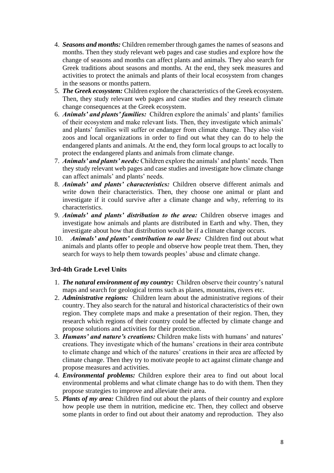- 4. *Seasons and months:* Children remember through games the names of seasons and months. Then they study relevant web pages and case studies and explore how the change of seasons and months can affect plants and animals. They also search for Greek traditions about seasons and months. At the end, they seek measures and activities to protect the animals and plants of their local ecosystem from changes in the seasons or months pattern.
- 5. *The Greek ecosystem:* Children explore the characteristics of the Greek ecosystem. Then, they study relevant web pages and case studies and they research climate change consequences at the Greek ecosystem.
- 6. *Animals' and plants' families:* Children explore the animals' and plants' families of their ecosystem and make relevant lists. Then, they investigate which animals' and plants' families will suffer or endanger from climate change. They also visit zoos and local organizations in order to find out what they can do to help the endangered plants and animals. At the end, they form local groups to act locally to protect the endangered plants and animals from climate change.
- 7. *Animals' and plants' needs:* Children explore the animals' and plants' needs. Then they study relevant web pages and case studies and investigate how climate change can affect animals' and plants' needs.
- 8. *Animals' and plants' characteristics:* Children observe different animals and write down their characteristics. Then, they choose one animal or plant and investigate if it could survive after a climate change and why, referring to its characteristics.
- 9. *Animals' and plants' distribution to the area:* Children observe images and investigate how animals and plants are distributed in Earth and why. Then, they investigate about how that distribution would be if a climate change occurs.
- 10. *Animals' and plants' contribution to our lives:* Children find out about what animals and plants offer to people and observe how people treat them. Then, they search for ways to help them towards peoples' abuse and climate change.

#### **3rd-4th Grade Level Units**

- 1. *The natural environment of my country:* Children observe their country's natural maps and search for geological terms such as planes, mountains, rivers etc.
- 2. *Administrative regions:* Children learn about the administrative regions of their country. They also search for the natural and historical characteristics of their own region. They complete maps and make a presentation of their region. Then, they research which regions of their country could be affected by climate change and propose solutions and activities for their protection.
- 3. *Humans' and nature's creations:* Children make lists with humans' and natures' creations. They investigate which of the humans' creations in their area contribute to climate change and which of the natures' creations in their area are affected by climate change. Then they try to motivate people to act against climate change and propose measures and activities.
- 4. *Environmental problems:* Children explore their area to find out about local environmental problems and what climate change has to do with them. Then they propose strategies to improve and alleviate their area.
- 5. *Plants of my area:* Children find out about the plants of their country and explore how people use them in nutrition, medicine etc. Then, they collect and observe some plants in order to find out about their anatomy and reproduction. They also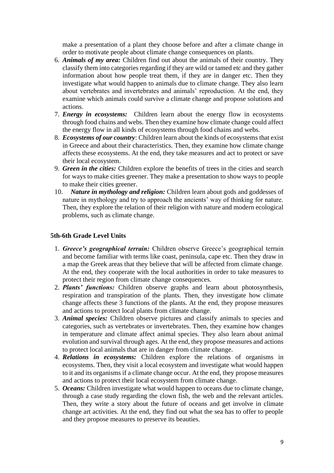make a presentation of a plant they choose before and after a climate change in order to motivate people about climate change consequences on plants.

- 6. *Animals of my area:* Children find out about the animals of their country. They classify them into categories regarding if they are wild or tamed etc and they gather information about how people treat them, if they are in danger etc. Then they investigate what would happen to animals due to climate change. They also learn about vertebrates and invertebrates and animals' reproduction. At the end, they examine which animals could survive a climate change and propose solutions and actions.
- 7. *Energy in ecosystems:* Children learn about the energy flow in ecosystems through food chains and webs. Then they examine how climate change could affect the energy flow in all kinds of ecosystems through food chains and webs.
- 8. *Ecosystems of our country*: Children learn about the kinds of ecosystems that exist in Greece and about their characteristics. Then, they examine how climate change affects these ecosystems. At the end, they take measures and act to protect or save their local ecosystem.
- 9. *Green in the cities:* Children explore the benefits of trees in the cities and search for ways to make cities greener. They make a presentation to show ways to people to make their cities greener.
- 10. *Nature in mythology and religion:* Children learn about gods and goddesses of nature in mythology and try to approach the ancients' way of thinking for nature. Then, they explore the relation of their religion with nature and modern ecological problems, such as climate change.

#### **5th-6th Grade Level Units**

- 1. *Greece's geographical terrain:* Children observe Greece's geographical terrain and become familiar with terms like coast, peninsula, cape etc. Then they draw in a map the Greek areas that they believe that will be affected from climate change. At the end, they cooperate with the local authorities in order to take measures to protect their region from climate change consequences.
- 2. *Plants' functions:* Children observe graphs and learn about photosynthesis, respiration and transpiration of the plants. Then, they investigate how climate change affects these 3 functions of the plants. At the end, they propose measures and actions to protect local plants from climate change.
- 3. *Animal species:* Children observe pictures and classify animals to species and categories, such as vertebrates or invertebrates. Then, they examine how changes in temperature and climate affect animal species. They also learn about animal evolution and survival through ages. At the end, they propose measures and actions to protect local animals that are in danger from climate change.
- 4. *Relations in ecosystems:* Children explore the relations of organisms in ecosystems. Then, they visit a local ecosystem and investigate what would happen to it and its organisms if a climate change occur. At the end, they propose measures and actions to protect their local ecosystem from climate change.
- 5. *Oceans:* Children investigate what would happen to oceans due to climate change, through a case study regarding the clown fish, the web and the relevant articles. Then, they write a story about the future of oceans and get involve in climate change art activities. At the end, they find out what the sea has to offer to people and they propose measures to preserve its beauties.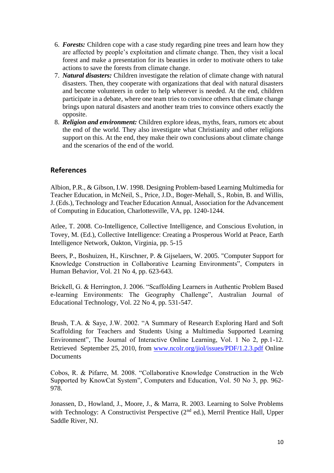- 6. *Forests:* Children cope with a case study regarding pine trees and learn how they are affected by people's exploitation and climate change. Then, they visit a local forest and make a presentation for its beauties in order to motivate others to take actions to save the forests from climate change.
- 7. *Natural disasters:* Children investigate the relation of climate change with natural disasters. Then, they cooperate with organizations that deal with natural disasters and become volunteers in order to help wherever is needed. At the end, children participate in a debate, where one team tries to convince others that climate change brings upon natural disasters and another team tries to convince others exactly the opposite.
- 8. *Religion and environment:* Children explore ideas, myths, fears, rumors etc about the end of the world. They also investigate what Christianity and other religions support on this. At the end, they make their own conclusions about climate change and the scenarios of the end of the world.

### **References**

Albion, P.R., & Gibson, I.W. 1998. Designing Problem-based Learning Multimedia for Teacher Education, in McNeil, S., Price, J.D., Boger-Mehall, S., Robin, B. and Willis, J. (Eds.), Technology and Teacher Education Annual, Association for the Advancement of Computing in Education, Charlottesville, VA, pp. 1240-1244.

Atlee, T. 2008. Co-Intelligence, Collective Intelligence, and Conscious Evolution, in Tovey, M. (Ed.), Collective Intelligence: Creating a Prosperous World at Peace, Earth Intelligence Network, Oakton, Virginia, pp. 5-15

Beers, P., Boshuizen, H., Kirschner, P. & Gijselaers, W. 2005. "Computer Support for Knowledge Construction in Collaborative Learning Environments", Computers in Human Behavior, Vol. 21 No 4, pp. 623-643.

Brickell, G. & Herrington, J. 2006. "Scaffolding Learners in Authentic Problem Based e-learning Environments: The Geography Challenge", Australian Journal of Educational Technology, Vol. 22 No 4, pp. 531-547.

Brush, T.A. & Saye, J.W. 2002. "A Summary of Research Exploring Hard and Soft Scaffolding for Teachers and Students Using a Multimedia Supported Learning Environment", The Journal of Interactive Online Learning, Vol. 1 No 2, pp.1-12. Retrieved September 25, 2010, from [www.ncolr.org/jiol/issues/PDF/1.2.3.pdf](http://www.ncolr.org/jiol/issues/PDF/1.2.3.pdf) Online **Documents** 

Cobos, R. & Pifarre, M. 2008. "Collaborative Knowledge Construction in the Web Supported by KnowCat System", Computers and Education, Vol. 50 No 3, pp. 962- 978.

Jonassen, D., Howland, J., Moore, J., & Marra, R. 2003. Learning to Solve Problems with Technology: A Constructivist Perspective  $(2<sup>nd</sup>$  ed.), Merril Prentice Hall, Upper Saddle River, NJ.